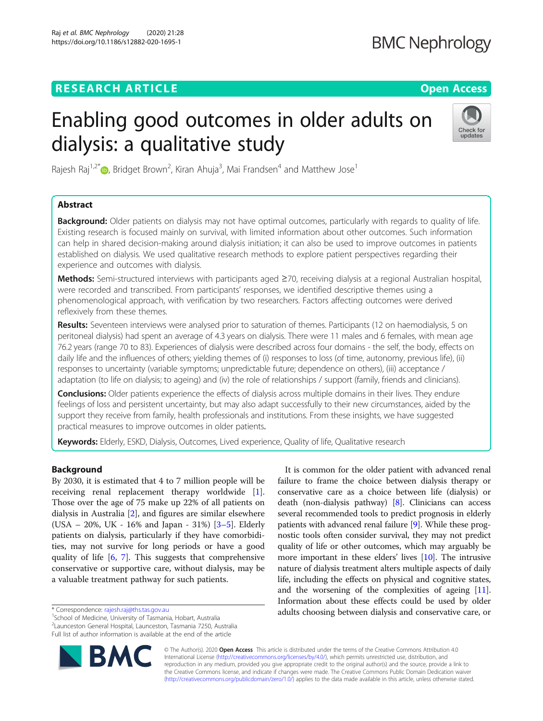# **RESEARCH ARTICLE Example 2014 CONSIDERING A RESEARCH ARTICLE**

# **BMC Nephrology**

# Enabling good outcomes in older adults on dialysis: a qualitative study



Rajesh Raj<sup>1,2[\\*](http://orcid.org/0000-0003-4781-3255)</sup> $\bm{\mathbb{D}}$ , Bridget Brown<sup>2</sup>, Kiran Ahuja<sup>3</sup>, Mai Frandsen<sup>4</sup> and Matthew Jose<sup>1</sup>

# Abstract

Background: Older patients on dialysis may not have optimal outcomes, particularly with regards to quality of life. Existing research is focused mainly on survival, with limited information about other outcomes. Such information can help in shared decision-making around dialysis initiation; it can also be used to improve outcomes in patients established on dialysis. We used qualitative research methods to explore patient perspectives regarding their experience and outcomes with dialysis.

Methods: Semi-structured interviews with participants aged ≥70, receiving dialysis at a regional Australian hospital, were recorded and transcribed. From participants' responses, we identified descriptive themes using a phenomenological approach, with verification by two researchers. Factors affecting outcomes were derived reflexively from these themes.

Results: Seventeen interviews were analysed prior to saturation of themes. Participants (12 on haemodialysis, 5 on peritoneal dialysis) had spent an average of 4.3 years on dialysis. There were 11 males and 6 females, with mean age 76.2 years (range 70 to 83). Experiences of dialysis were described across four domains - the self, the body, effects on daily life and the influences of others; yielding themes of (i) responses to loss (of time, autonomy, previous life), (ii) responses to uncertainty (variable symptoms; unpredictable future; dependence on others), (iii) acceptance / adaptation (to life on dialysis; to ageing) and (iv) the role of relationships / support (family, friends and clinicians).

Conclusions: Older patients experience the effects of dialysis across multiple domains in their lives. They endure feelings of loss and persistent uncertainty, but may also adapt successfully to their new circumstances, aided by the support they receive from family, health professionals and institutions. From these insights, we have suggested practical measures to improve outcomes in older patients.

Keywords: Elderly, ESKD, Dialysis, Outcomes, Lived experience, Quality of life, Qualitative research

# Background

By 2030, it is estimated that 4 to 7 million people will be receiving renal replacement therapy worldwide [\[1](#page-10-0)]. Those over the age of 75 make up 22% of all patients on dialysis in Australia [[2\]](#page-10-0), and figures are similar elsewhere (USA – 20%, UK - 16% and Japan - 31%) [[3](#page-10-0)–[5](#page-10-0)]. Elderly patients on dialysis, particularly if they have comorbidities, may not survive for long periods or have a good quality of life [\[6](#page-10-0), [7\]](#page-10-0). This suggests that comprehensive conservative or supportive care, without dialysis, may be a valuable treatment pathway for such patients.

Full list of author information is available at the end of the article



It is common for the older patient with advanced renal failure to frame the choice between dialysis therapy or conservative care as a choice between life (dialysis) or death (non-dialysis pathway) [[8\]](#page-10-0). Clinicians can access several recommended tools to predict prognosis in elderly patients with advanced renal failure [\[9](#page-10-0)]. While these prognostic tools often consider survival, they may not predict quality of life or other outcomes, which may arguably be more important in these elders' lives [[10\]](#page-10-0). The intrusive nature of dialysis treatment alters multiple aspects of daily life, including the effects on physical and cognitive states, and the worsening of the complexities of ageing [[11](#page-10-0)]. Information about these effects could be used by older adults choosing between dialysis and conservative care, or

© The Author(s). 2020 Open Access This article is distributed under the terms of the Creative Commons Attribution 4.0 International License [\(http://creativecommons.org/licenses/by/4.0/](http://creativecommons.org/licenses/by/4.0/)), which permits unrestricted use, distribution, and reproduction in any medium, provided you give appropriate credit to the original author(s) and the source, provide a link to the Creative Commons license, and indicate if changes were made. The Creative Commons Public Domain Dedication waiver [\(http://creativecommons.org/publicdomain/zero/1.0/](http://creativecommons.org/publicdomain/zero/1.0/)) applies to the data made available in this article, unless otherwise stated.

<sup>\*</sup> Correspondence: [rajesh.raj@ths.tas.gov.au](mailto:rajesh.raj@ths.tas.gov.au) <sup>1</sup>

<sup>&</sup>lt;sup>1</sup>School of Medicine, University of Tasmania, Hobart, Australia

<sup>2</sup> Launceston General Hospital, Launceston, Tasmania 7250, Australia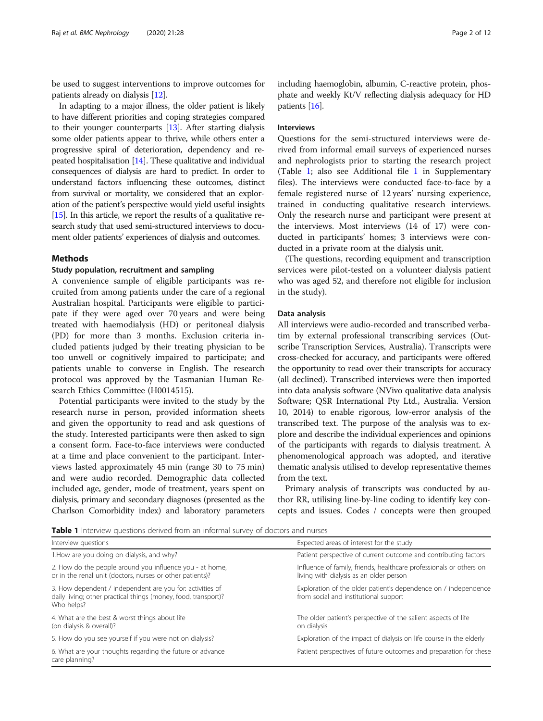be used to suggest interventions to improve outcomes for patients already on dialysis [\[12\]](#page-10-0).

In adapting to a major illness, the older patient is likely to have different priorities and coping strategies compared to their younger counterparts [\[13\]](#page-10-0). After starting dialysis some older patients appear to thrive, while others enter a progressive spiral of deterioration, dependency and repeated hospitalisation [[14](#page-10-0)]. These qualitative and individual consequences of dialysis are hard to predict. In order to understand factors influencing these outcomes, distinct from survival or mortality, we considered that an exploration of the patient's perspective would yield useful insights [[15](#page-10-0)]. In this article, we report the results of a qualitative research study that used semi-structured interviews to document older patients' experiences of dialysis and outcomes.

# Methods

# Study population, recruitment and sampling

A convenience sample of eligible participants was recruited from among patients under the care of a regional Australian hospital. Participants were eligible to participate if they were aged over 70 years and were being treated with haemodialysis (HD) or peritoneal dialysis (PD) for more than 3 months. Exclusion criteria included patients judged by their treating physician to be too unwell or cognitively impaired to participate; and patients unable to converse in English. The research protocol was approved by the Tasmanian Human Research Ethics Committee (H0014515).

Potential participants were invited to the study by the research nurse in person, provided information sheets and given the opportunity to read and ask questions of the study. Interested participants were then asked to sign a consent form. Face-to-face interviews were conducted at a time and place convenient to the participant. Interviews lasted approximately 45 min (range 30 to 75 min) and were audio recorded. Demographic data collected included age, gender, mode of treatment, years spent on dialysis, primary and secondary diagnoses (presented as the Charlson Comorbidity index) and laboratory parameters

including haemoglobin, albumin, C-reactive protein, phosphate and weekly Kt/V reflecting dialysis adequacy for HD patients [\[16](#page-10-0)].

# Interviews

Questions for the semi-structured interviews were derived from informal email surveys of experienced nurses and nephrologists prior to starting the research project (Table 1; also see Additional file [1](#page-9-0) in Supplementary files). The interviews were conducted face-to-face by a female registered nurse of 12 years' nursing experience, trained in conducting qualitative research interviews. Only the research nurse and participant were present at the interviews. Most interviews (14 of 17) were conducted in participants' homes; 3 interviews were conducted in a private room at the dialysis unit.

(The questions, recording equipment and transcription services were pilot-tested on a volunteer dialysis patient who was aged 52, and therefore not eligible for inclusion in the study).

# Data analysis

All interviews were audio-recorded and transcribed verbatim by external professional transcribing services (Outscribe Transcription Services, Australia). Transcripts were cross-checked for accuracy, and participants were offered the opportunity to read over their transcripts for accuracy (all declined). Transcribed interviews were then imported into data analysis software (NVivo qualitative data analysis Software; QSR International Pty Ltd., Australia. Version 10, 2014) to enable rigorous, low-error analysis of the transcribed text. The purpose of the analysis was to explore and describe the individual experiences and opinions of the participants with regards to dialysis treatment. A phenomenological approach was adopted, and iterative thematic analysis utilised to develop representative themes from the text.

Primary analysis of transcripts was conducted by author RR, utilising line-by-line coding to identify key concepts and issues. Codes / concepts were then grouped

Table 1 Interview questions derived from an informal survey of doctors and nurses

| Interview questions                                                                                                                       | Expected areas of interest for the study                                                                       |
|-------------------------------------------------------------------------------------------------------------------------------------------|----------------------------------------------------------------------------------------------------------------|
| 1. How are you doing on dialysis, and why?                                                                                                | Patient perspective of current outcome and contributing factors                                                |
| 2. How do the people around you influence you - at home,<br>or in the renal unit (doctors, nurses or other patients)?                     | Influence of family, friends, healthcare professionals or others on<br>living with dialysis as an older person |
| 3. How dependent / independent are you for: activities of<br>daily living; other practical things (money, food, transport)?<br>Who helps? | Exploration of the older patient's dependence on / independence<br>from social and institutional support       |
| 4. What are the best & worst things about life<br>(on dialysis & overall)?                                                                | The older patient's perspective of the salient aspects of life<br>on dialysis                                  |
| 5. How do you see yourself if you were not on dialysis?                                                                                   | Exploration of the impact of dialysis on life course in the elderly                                            |
| 6. What are your thoughts regarding the future or advance<br>care planning?                                                               | Patient perspectives of future outcomes and preparation for these                                              |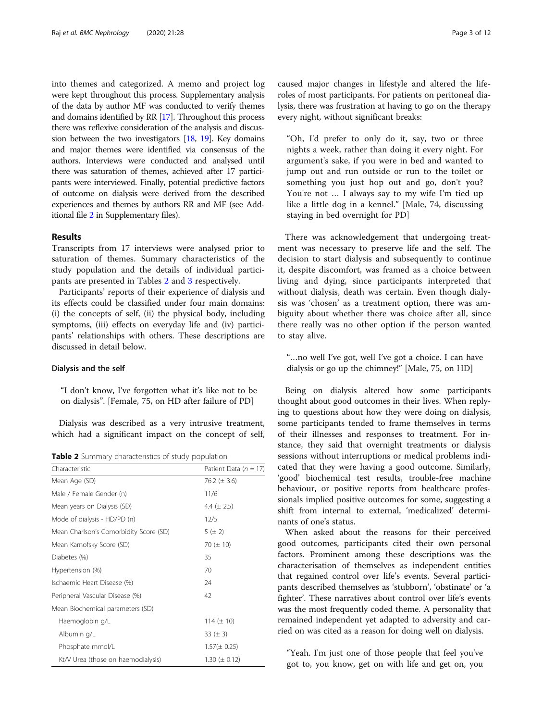into themes and categorized. A memo and project log were kept throughout this process. Supplementary analysis of the data by author MF was conducted to verify themes and domains identified by RR [[17\]](#page-10-0). Throughout this process there was reflexive consideration of the analysis and discussion between the two investigators [\[18,](#page-10-0) [19](#page-10-0)]. Key domains and major themes were identified via consensus of the authors. Interviews were conducted and analysed until there was saturation of themes, achieved after 17 participants were interviewed. Finally, potential predictive factors of outcome on dialysis were derived from the described experiences and themes by authors RR and MF (see Additional file [2](#page-9-0) in Supplementary files).

# Results

Transcripts from 17 interviews were analysed prior to saturation of themes. Summary characteristics of the study population and the details of individual participants are presented in Tables 2 and [3](#page-3-0) respectively.

Participants' reports of their experience of dialysis and its effects could be classified under four main domains: (i) the concepts of self, (ii) the physical body, including symptoms, (iii) effects on everyday life and (iv) participants' relationships with others. These descriptions are discussed in detail below.

# Dialysis and the self

"I don't know, I've forgotten what it's like not to be on dialysis". [Female, 75, on HD after failure of PD]

Dialysis was described as a very intrusive treatment, which had a significant impact on the concept of self,

Table 2 Summary characteristics of study population

| Characteristic                         | Patient Data ( $n = 17$ ) |
|----------------------------------------|---------------------------|
| Mean Age (SD)                          | 76.2 $(\pm 3.6)$          |
| Male / Female Gender (n)               | 11/6                      |
| Mean years on Dialysis (SD)            | 4.4 ( $\pm$ 2.5)          |
| Mode of dialysis - HD/PD (n)           | 12/5                      |
| Mean Charlson's Comorbidity Score (SD) | 5 ( $\pm$ 2)              |
| Mean Karnofsky Score (SD)              | 70 ( $\pm$ 10)            |
| Diabetes (%)                           | 35                        |
| Hypertension (%)                       | 70                        |
| Ischaemic Heart Disease (%)            | 24                        |
| Peripheral Vascular Disease (%)        | 42                        |
| Mean Biochemical parameters (SD)       |                           |
| Haemoglobin g/L                        | 114 $(\pm 10)$            |
| Albumin g/L                            | 33 ( $\pm$ 3)             |
| Phosphate mmol/L                       | $1.57(\pm 0.25)$          |
| Kt/V Urea (those on haemodialysis)     | $1.30 \ (\pm 0.12)$       |

caused major changes in lifestyle and altered the liferoles of most participants. For patients on peritoneal dialysis, there was frustration at having to go on the therapy every night, without significant breaks:

"Oh, I'd prefer to only do it, say, two or three nights a week, rather than doing it every night. For argument's sake, if you were in bed and wanted to jump out and run outside or run to the toilet or something you just hop out and go, don't you? You're not … I always say to my wife I'm tied up like a little dog in a kennel." [Male, 74, discussing staying in bed overnight for PD]

There was acknowledgement that undergoing treatment was necessary to preserve life and the self. The decision to start dialysis and subsequently to continue it, despite discomfort, was framed as a choice between living and dying, since participants interpreted that without dialysis, death was certain. Even though dialysis was 'chosen' as a treatment option, there was ambiguity about whether there was choice after all, since there really was no other option if the person wanted to stay alive.

"…no well I've got, well I've got a choice. I can have dialysis or go up the chimney!" [Male, 75, on HD]

Being on dialysis altered how some participants thought about good outcomes in their lives. When replying to questions about how they were doing on dialysis, some participants tended to frame themselves in terms of their illnesses and responses to treatment. For instance, they said that overnight treatments or dialysis sessions without interruptions or medical problems indicated that they were having a good outcome. Similarly, 'good' biochemical test results, trouble-free machine behaviour, or positive reports from healthcare professionals implied positive outcomes for some, suggesting a shift from internal to external, 'medicalized' determinants of one's status.

When asked about the reasons for their perceived good outcomes, participants cited their own personal factors. Prominent among these descriptions was the characterisation of themselves as independent entities that regained control over life's events. Several participants described themselves as 'stubborn', 'obstinate' or 'a fighter'. These narratives about control over life's events was the most frequently coded theme. A personality that remained independent yet adapted to adversity and carried on was cited as a reason for doing well on dialysis.

"Yeah. I'm just one of those people that feel you've got to, you know, get on with life and get on, you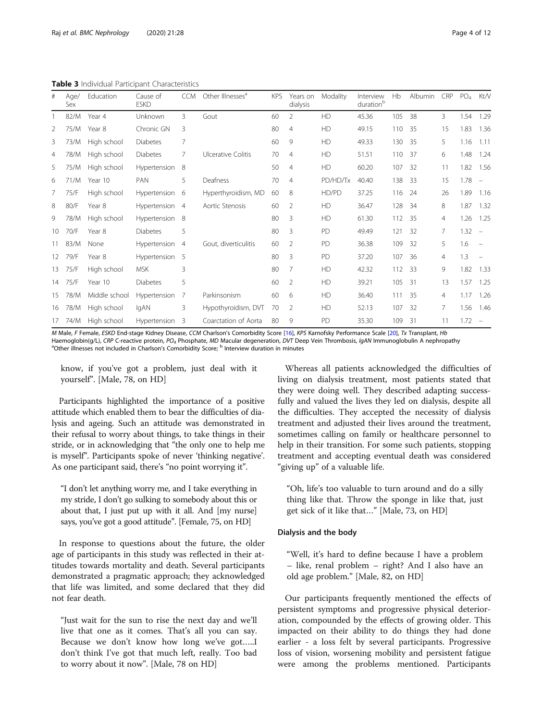<span id="page-3-0"></span>Table 3 Individual Participant Characteristics

| #              | Age/<br>Sex | Education     | Cause of<br><b>ESKD</b> | <b>CCM</b>              | Other Illnesses <sup>a</sup> | <b>KPS</b> | Years on<br>dialysis | Modality | Interview<br>$\text{duration}^{\text{b}}$ | Hb  | Albumin | <b>CRP</b> | PO <sub>4</sub> | Kt/V   |
|----------------|-------------|---------------|-------------------------|-------------------------|------------------------------|------------|----------------------|----------|-------------------------------------------|-----|---------|------------|-----------------|--------|
|                | 82/M        | Year 4        | Unknown                 | 3                       | Gout                         | 60         | 2                    | HD       | 45.36                                     | 105 | 38      | 3          | 1.54            | 1.29   |
| 2              | 75/M        | Year 8        | Chronic GN              | 3                       |                              | 80         | 4                    | HD       | 49.15                                     | 110 | 35      | 15         | 1.83            | 1.36   |
| 3              | 73/M        | High school   | <b>Diabetes</b>         | 7                       |                              | 60         | 9                    | HD       | 49.33                                     | 130 | 35      | 5          | 1.16            | 1.11   |
| $\overline{4}$ | 78/M        | High school   | <b>Diabetes</b>         | 7                       | Ulcerative Colitis           | 70         | $\overline{4}$       | HD       | 51.51                                     | 110 | 37      | 6          | 1.48            | 1.24   |
| 5              | 75/M        | High school   | Hypertension            | 8                       |                              | 50         | 4                    | HD       | 60.20                                     | 107 | 32      | 11         | 1.82            | 1.56   |
| 6              | 71/M        | Year 10       | PAN                     | 5                       | Deafness                     | 70         | $\overline{4}$       | PD/HD/Tx | 40.40                                     | 138 | 33      | 15         | 1.78            | $\sim$ |
| 7              | 75/F        | High school   | Hypertension 6          |                         | Hyperthyroidism, MD          | 60         | 8                    | HD/PD    | 37.25                                     | 116 | 24      | 26         | 1.89            | 1.16   |
| 8              | 80/F        | Year 8        | Hypertension            | $\overline{4}$          | Aortic Stenosis              | 60         | $\mathfrak{D}$       | HD       | 36.47                                     | 128 | 34      | 8          | 1.87            | 1.32   |
| 9              | 78/M        | High school   | Hypertension 8          |                         |                              | 80         | 3                    | HD       | 61.30                                     | 112 | 35      | 4          | 1.26            | 1.25   |
| 10             | 70/F        | Year 8        | <b>Diabetes</b>         | 5                       |                              | 80         | 3                    | PD       | 49.49                                     | 121 | 32      |            | 1.32            |        |
|                | 83/M        | None          | Hypertension            | $\overline{4}$          | Gout, diverticulitis         | 60         | $\mathfrak{D}$       | PD       | 36.38                                     | 109 | 32      | 5          | 1.6             |        |
| 12             | 79/F        | Year 8        | Hypertension 5          |                         |                              | 80         | 3                    | PD       | 37.20                                     | 107 | 36      | 4          | 1.3             |        |
| 13             | 75/F        | High school   | <b>MSK</b>              | 3                       |                              | 80         |                      | HD       | 42.32                                     | 112 | 33      | 9          | 1.82            | 1.33   |
| 14             | 75/F        | Year 10       | <b>Diabetes</b>         | 5                       |                              | 60         | $\mathfrak{D}$       | HD       | 39.21                                     | 105 | 31      | 13         | 1.57            | 1.25   |
| 15             | 78/M        | Middle school | Hypertension            | 7                       | Parkinsonism                 | 60         | 6                    | HD       | 36.40                                     | 111 | 35      | 4          | 1.17            | 1.26   |
| 16             | 78/M        | High school   | IgAN                    | 3                       | Hypothyroidism, DVT          | 70         | 2                    | HD       | 52.13                                     | 107 | 32      | 7          | 1.56            | 1.46   |
| 17             | 74/M        | High school   | Hypertension            | $\overline{\mathbf{3}}$ | Coarctation of Aorta         | 80         | 9                    | PD       | 35.30                                     | 109 | 31      | 11         | 1.72            |        |

M Male, F Female, ESKD End-stage Kidney Disease, CCM Charlson's Comorbidity Score [\[16](#page-10-0)], KPS Karnofsky Performance Scale [\[20\]](#page-10-0), Tx Transplant, Hb Haemoglobin(g/L), CRP C-reactive protein, PO<sub>4</sub> Phosphate, MD Macular degeneration, DVT Deep Vein Thrombosis, IgAN Immunoglobulin A nephropathy <sup>a</sup>Other illnesses not included in Charlson's Comorbidity Score; <sup>b</sup> Interview duration in minutes

know, if you've got a problem, just deal with it yourself". [Male, 78, on HD]

Participants highlighted the importance of a positive attitude which enabled them to bear the difficulties of dialysis and ageing. Such an attitude was demonstrated in their refusal to worry about things, to take things in their stride, or in acknowledging that "the only one to help me is myself". Participants spoke of never 'thinking negative'. As one participant said, there's "no point worrying it".

"I don't let anything worry me, and I take everything in my stride, I don't go sulking to somebody about this or about that, I just put up with it all. And [my nurse] says, you've got a good attitude". [Female, 75, on HD]

In response to questions about the future, the older age of participants in this study was reflected in their attitudes towards mortality and death. Several participants demonstrated a pragmatic approach; they acknowledged that life was limited, and some declared that they did not fear death.

"Just wait for the sun to rise the next day and we'll live that one as it comes. That's all you can say. Because we don't know how long we've got…..I don't think I've got that much left, really. Too bad to worry about it now". [Male, 78 on HD]

Whereas all patients acknowledged the difficulties of living on dialysis treatment, most patients stated that they were doing well. They described adapting successfully and valued the lives they led on dialysis, despite all the difficulties. They accepted the necessity of dialysis treatment and adjusted their lives around the treatment, sometimes calling on family or healthcare personnel to help in their transition. For some such patients, stopping treatment and accepting eventual death was considered "giving up" of a valuable life.

"Oh, life's too valuable to turn around and do a silly thing like that. Throw the sponge in like that, just get sick of it like that…" [Male, 73, on HD]

# Dialysis and the body

"Well, it's hard to define because I have a problem – like, renal problem – right? And I also have an old age problem." [Male, 82, on HD]

Our participants frequently mentioned the effects of persistent symptoms and progressive physical deterioration, compounded by the effects of growing older. This impacted on their ability to do things they had done earlier - a loss felt by several participants. Progressive loss of vision, worsening mobility and persistent fatigue were among the problems mentioned. Participants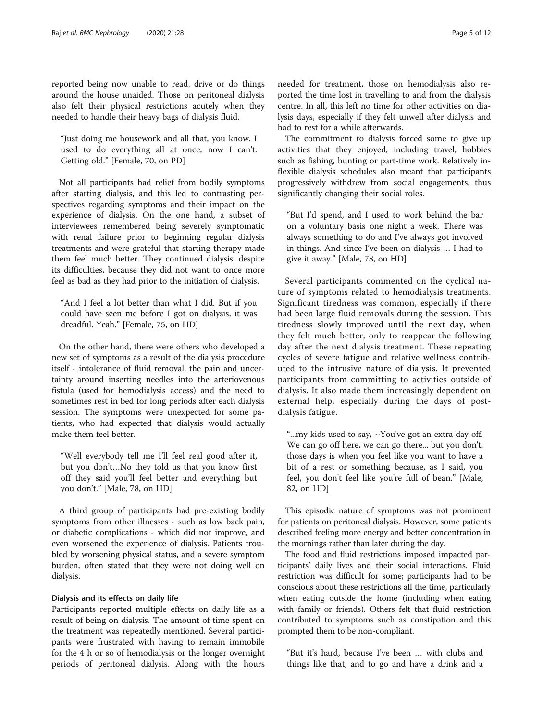reported being now unable to read, drive or do things around the house unaided. Those on peritoneal dialysis also felt their physical restrictions acutely when they needed to handle their heavy bags of dialysis fluid.

"Just doing me housework and all that, you know. I used to do everything all at once, now I can't. Getting old." [Female, 70, on PD]

Not all participants had relief from bodily symptoms after starting dialysis, and this led to contrasting perspectives regarding symptoms and their impact on the experience of dialysis. On the one hand, a subset of interviewees remembered being severely symptomatic with renal failure prior to beginning regular dialysis treatments and were grateful that starting therapy made them feel much better. They continued dialysis, despite its difficulties, because they did not want to once more feel as bad as they had prior to the initiation of dialysis.

"And I feel a lot better than what I did. But if you could have seen me before I got on dialysis, it was dreadful. Yeah." [Female, 75, on HD]

On the other hand, there were others who developed a new set of symptoms as a result of the dialysis procedure itself - intolerance of fluid removal, the pain and uncertainty around inserting needles into the arteriovenous fistula (used for hemodialysis access) and the need to sometimes rest in bed for long periods after each dialysis session. The symptoms were unexpected for some patients, who had expected that dialysis would actually make them feel better.

"Well everybody tell me I'll feel real good after it, but you don't…No they told us that you know first off they said you'll feel better and everything but you don't." [Male, 78, on HD]

A third group of participants had pre-existing bodily symptoms from other illnesses - such as low back pain, or diabetic complications - which did not improve, and even worsened the experience of dialysis. Patients troubled by worsening physical status, and a severe symptom burden, often stated that they were not doing well on dialysis.

## Dialysis and its effects on daily life

Participants reported multiple effects on daily life as a result of being on dialysis. The amount of time spent on the treatment was repeatedly mentioned. Several participants were frustrated with having to remain immobile for the 4 h or so of hemodialysis or the longer overnight periods of peritoneal dialysis. Along with the hours

needed for treatment, those on hemodialysis also reported the time lost in travelling to and from the dialysis centre. In all, this left no time for other activities on dialysis days, especially if they felt unwell after dialysis and had to rest for a while afterwards.

The commitment to dialysis forced some to give up activities that they enjoyed, including travel, hobbies such as fishing, hunting or part-time work. Relatively inflexible dialysis schedules also meant that participants progressively withdrew from social engagements, thus significantly changing their social roles.

"But I'd spend, and I used to work behind the bar on a voluntary basis one night a week. There was always something to do and I've always got involved in things. And since I've been on dialysis … I had to give it away." [Male, 78, on HD]

Several participants commented on the cyclical nature of symptoms related to hemodialysis treatments. Significant tiredness was common, especially if there had been large fluid removals during the session. This tiredness slowly improved until the next day, when they felt much better, only to reappear the following day after the next dialysis treatment. These repeating cycles of severe fatigue and relative wellness contributed to the intrusive nature of dialysis. It prevented participants from committing to activities outside of dialysis. It also made them increasingly dependent on external help, especially during the days of postdialysis fatigue.

"...my kids used to say, ~You've got an extra day off. We can go off here, we can go there... but you don't, those days is when you feel like you want to have a bit of a rest or something because, as I said, you feel, you don't feel like you're full of bean." [Male, 82, on HD]

This episodic nature of symptoms was not prominent for patients on peritoneal dialysis. However, some patients described feeling more energy and better concentration in the mornings rather than later during the day.

The food and fluid restrictions imposed impacted participants' daily lives and their social interactions. Fluid restriction was difficult for some; participants had to be conscious about these restrictions all the time, particularly when eating outside the home (including when eating with family or friends). Others felt that fluid restriction contributed to symptoms such as constipation and this prompted them to be non-compliant.

"But it's hard, because I've been … with clubs and things like that, and to go and have a drink and a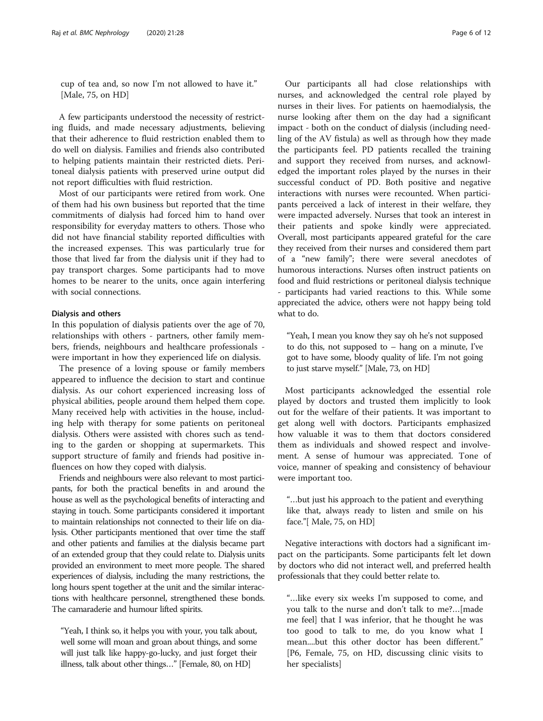cup of tea and, so now I'm not allowed to have it." [Male, 75, on HD]

A few participants understood the necessity of restricting fluids, and made necessary adjustments, believing that their adherence to fluid restriction enabled them to do well on dialysis. Families and friends also contributed to helping patients maintain their restricted diets. Peritoneal dialysis patients with preserved urine output did not report difficulties with fluid restriction.

Most of our participants were retired from work. One of them had his own business but reported that the time commitments of dialysis had forced him to hand over responsibility for everyday matters to others. Those who did not have financial stability reported difficulties with the increased expenses. This was particularly true for those that lived far from the dialysis unit if they had to pay transport charges. Some participants had to move homes to be nearer to the units, once again interfering with social connections.

## Dialysis and others

In this population of dialysis patients over the age of 70, relationships with others - partners, other family members, friends, neighbours and healthcare professionals were important in how they experienced life on dialysis.

The presence of a loving spouse or family members appeared to influence the decision to start and continue dialysis. As our cohort experienced increasing loss of physical abilities, people around them helped them cope. Many received help with activities in the house, including help with therapy for some patients on peritoneal dialysis. Others were assisted with chores such as tending to the garden or shopping at supermarkets. This support structure of family and friends had positive influences on how they coped with dialysis.

Friends and neighbours were also relevant to most participants, for both the practical benefits in and around the house as well as the psychological benefits of interacting and staying in touch. Some participants considered it important to maintain relationships not connected to their life on dialysis. Other participants mentioned that over time the staff and other patients and families at the dialysis became part of an extended group that they could relate to. Dialysis units provided an environment to meet more people. The shared experiences of dialysis, including the many restrictions, the long hours spent together at the unit and the similar interactions with healthcare personnel, strengthened these bonds. The camaraderie and humour lifted spirits.

"Yeah, I think so, it helps you with your, you talk about, well some will moan and groan about things, and some will just talk like happy-go-lucky, and just forget their illness, talk about other things…" [Female, 80, on HD]

Our participants all had close relationships with nurses, and acknowledged the central role played by nurses in their lives. For patients on haemodialysis, the nurse looking after them on the day had a significant impact - both on the conduct of dialysis (including needling of the AV fistula) as well as through how they made the participants feel. PD patients recalled the training and support they received from nurses, and acknowledged the important roles played by the nurses in their successful conduct of PD. Both positive and negative interactions with nurses were recounted. When participants perceived a lack of interest in their welfare, they were impacted adversely. Nurses that took an interest in their patients and spoke kindly were appreciated. Overall, most participants appeared grateful for the care they received from their nurses and considered them part of a "new family"; there were several anecdotes of humorous interactions. Nurses often instruct patients on food and fluid restrictions or peritoneal dialysis technique - participants had varied reactions to this. While some appreciated the advice, others were not happy being told what to do.

"Yeah, I mean you know they say oh he's not supposed to do this, not supposed to – hang on a minute, I've got to have some, bloody quality of life. I'm not going to just starve myself." [Male, 73, on HD]

Most participants acknowledged the essential role played by doctors and trusted them implicitly to look out for the welfare of their patients. It was important to get along well with doctors. Participants emphasized how valuable it was to them that doctors considered them as individuals and showed respect and involvement. A sense of humour was appreciated. Tone of voice, manner of speaking and consistency of behaviour were important too.

"…but just his approach to the patient and everything like that, always ready to listen and smile on his face."[ Male, 75, on HD]

Negative interactions with doctors had a significant impact on the participants. Some participants felt let down by doctors who did not interact well, and preferred health professionals that they could better relate to.

"…like every six weeks I'm supposed to come, and you talk to the nurse and don't talk to me?…[made me feel] that I was inferior, that he thought he was too good to talk to me, do you know what I mean....but this other doctor has been different." [P6, Female, 75, on HD, discussing clinic visits to her specialists]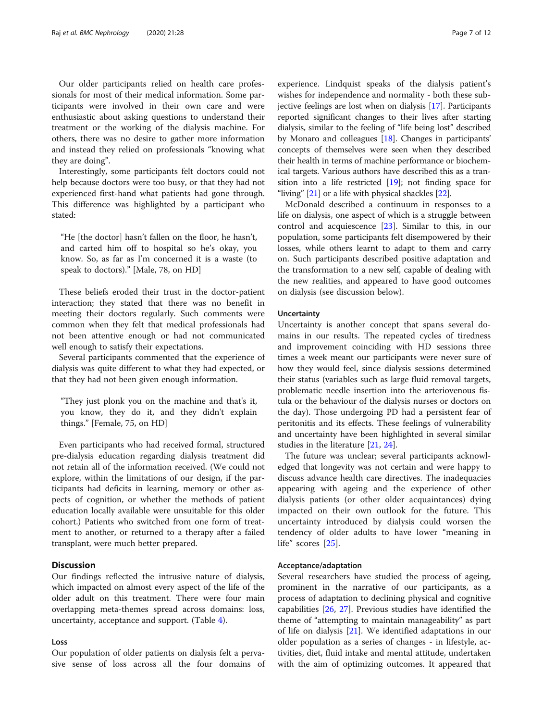Our older participants relied on health care professionals for most of their medical information. Some participants were involved in their own care and were enthusiastic about asking questions to understand their treatment or the working of the dialysis machine. For others, there was no desire to gather more information and instead they relied on professionals "knowing what they are doing".

Interestingly, some participants felt doctors could not help because doctors were too busy, or that they had not experienced first-hand what patients had gone through. This difference was highlighted by a participant who stated:

"He [the doctor] hasn't fallen on the floor, he hasn't, and carted him off to hospital so he's okay, you know. So, as far as I'm concerned it is a waste (to speak to doctors)." [Male, 78, on HD]

These beliefs eroded their trust in the doctor-patient interaction; they stated that there was no benefit in meeting their doctors regularly. Such comments were common when they felt that medical professionals had not been attentive enough or had not communicated well enough to satisfy their expectations.

Several participants commented that the experience of dialysis was quite different to what they had expected, or that they had not been given enough information.

"They just plonk you on the machine and that's it, you know, they do it, and they didn't explain things." [Female, 75, on HD]

Even participants who had received formal, structured pre-dialysis education regarding dialysis treatment did not retain all of the information received. (We could not explore, within the limitations of our design, if the participants had deficits in learning, memory or other aspects of cognition, or whether the methods of patient education locally available were unsuitable for this older cohort.) Patients who switched from one form of treatment to another, or returned to a therapy after a failed transplant, were much better prepared.

# **Discussion**

Our findings reflected the intrusive nature of dialysis, which impacted on almost every aspect of the life of the older adult on this treatment. There were four main overlapping meta-themes spread across domains: loss, uncertainty, acceptance and support. (Table [4](#page-7-0)).

# Loss

Our population of older patients on dialysis felt a pervasive sense of loss across all the four domains of

experience. Lindquist speaks of the dialysis patient's wishes for independence and normality - both these subjective feelings are lost when on dialysis [\[17\]](#page-10-0). Participants reported significant changes to their lives after starting dialysis, similar to the feeling of "life being lost" described by Monaro and colleagues [\[18\]](#page-10-0). Changes in participants' concepts of themselves were seen when they described their health in terms of machine performance or biochemical targets. Various authors have described this as a transition into a life restricted [\[19\]](#page-10-0); not finding space for "living"  $[21]$  or a life with physical shackles  $[22]$  $[22]$  $[22]$ .

McDonald described a continuum in responses to a life on dialysis, one aspect of which is a struggle between control and acquiescence [\[23\]](#page-10-0). Similar to this, in our population, some participants felt disempowered by their losses, while others learnt to adapt to them and carry on. Such participants described positive adaptation and the transformation to a new self, capable of dealing with the new realities, and appeared to have good outcomes on dialysis (see discussion below).

# **Uncertainty**

Uncertainty is another concept that spans several domains in our results. The repeated cycles of tiredness and improvement coinciding with HD sessions three times a week meant our participants were never sure of how they would feel, since dialysis sessions determined their status (variables such as large fluid removal targets, problematic needle insertion into the arteriovenous fistula or the behaviour of the dialysis nurses or doctors on the day). Those undergoing PD had a persistent fear of peritonitis and its effects. These feelings of vulnerability and uncertainty have been highlighted in several similar studies in the literature [\[21,](#page-10-0) [24\]](#page-10-0).

The future was unclear; several participants acknowledged that longevity was not certain and were happy to discuss advance health care directives. The inadequacies appearing with ageing and the experience of other dialysis patients (or other older acquaintances) dying impacted on their own outlook for the future. This uncertainty introduced by dialysis could worsen the tendency of older adults to have lower "meaning in life" scores [[25\]](#page-10-0).

## Acceptance/adaptation

Several researchers have studied the process of ageing, prominent in the narrative of our participants, as a process of adaptation to declining physical and cognitive capabilities [[26](#page-10-0), [27](#page-10-0)]. Previous studies have identified the theme of "attempting to maintain manageability" as part of life on dialysis [\[21\]](#page-10-0). We identified adaptations in our older population as a series of changes - in lifestyle, activities, diet, fluid intake and mental attitude, undertaken with the aim of optimizing outcomes. It appeared that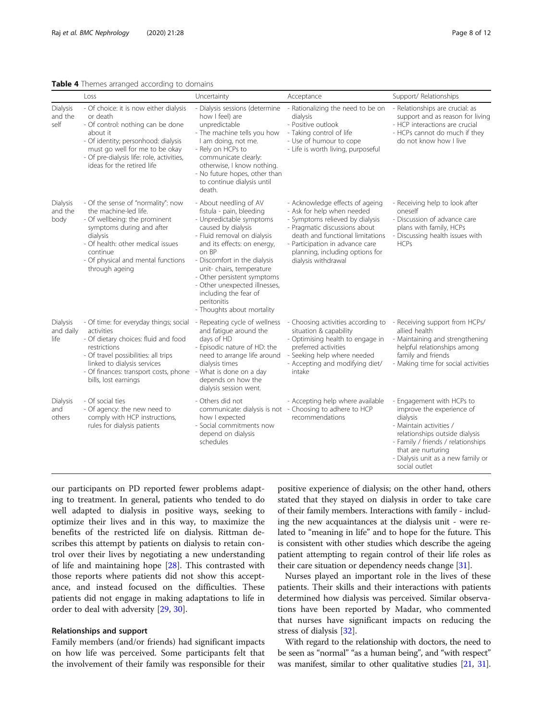<span id="page-7-0"></span>

|                               | Loss                                                                                                                                                                                                                                                    | Uncertainty                                                                                                                                                                                                                                                                                                                                                                    | Acceptance                                                                                                                                                                                                                                                         | Support/ Relationships                                                                                                                                                                                                                             |
|-------------------------------|---------------------------------------------------------------------------------------------------------------------------------------------------------------------------------------------------------------------------------------------------------|--------------------------------------------------------------------------------------------------------------------------------------------------------------------------------------------------------------------------------------------------------------------------------------------------------------------------------------------------------------------------------|--------------------------------------------------------------------------------------------------------------------------------------------------------------------------------------------------------------------------------------------------------------------|----------------------------------------------------------------------------------------------------------------------------------------------------------------------------------------------------------------------------------------------------|
| Dialysis<br>and the<br>self   | - Of choice: it is now either dialysis<br>or death<br>- Of control: nothing can be done<br>about it<br>- Of identity; personhood: dialysis<br>must go well for me to be okay<br>- Of pre-dialysis life: role, activities,<br>ideas for the retired life | - Dialysis sessions (determine<br>how I feel) are<br>unpredictable<br>- The machine tells you how<br>I am doing, not me.<br>- Rely on HCPs to<br>communicate clearly:<br>otherwise, I know nothing.<br>- No future hopes, other than<br>to continue dialysis until<br>death.                                                                                                   | - Rationalizing the need to be on<br>dialysis<br>- Positive outlook<br>- Taking control of life<br>- Use of humour to cope<br>- Life is worth living, purposeful                                                                                                   | - Relationships are crucial: as<br>support and as reason for living<br>- HCP interactions are crucial<br>- HCPs cannot do much if they<br>do not know how I live                                                                                   |
| Dialysis<br>and the<br>body   | - Of the sense of "normality": now<br>the machine-led life.<br>- Of wellbeing: the prominent<br>symptoms during and after<br>dialysis<br>- Of health: other medical issues<br>continue<br>- Of physical and mental functions<br>through ageing          | - About needling of AV<br>fistula - pain, bleeding<br>- Unpredictable symptoms<br>caused by dialysis<br>- Fluid removal on dialysis<br>and its effects: on energy,<br>on BP<br>- Discomfort in the dialysis<br>unit- chairs, temperature<br>- Other persistent symptoms<br>- Other unexpected illnesses,<br>including the fear of<br>peritonitis<br>- Thoughts about mortality | - Acknowledge effects of ageing<br>- Ask for help when needed<br>- Symptoms relieved by dialysis<br>- Pragmatic discussions about<br>death and functional limitations<br>- Participation in advance care<br>planning, including options for<br>dialysis withdrawal | - Receiving help to look after<br>oneself<br>- Discussion of advance care<br>plans with family, HCPs<br>- Discussing health issues with<br><b>HCPs</b>                                                                                             |
| Dialysis<br>and daily<br>life | - Of time: for everyday things; social<br>activities<br>- Of dietary choices: fluid and food<br>restrictions<br>- Of travel possibilities: all trips<br>linked to dialysis services<br>- Of finances: transport costs, phone<br>bills, lost earnings    | - Repeating cycle of wellness<br>and fatigue around the<br>days of HD<br>- Episodic nature of HD: the<br>need to arrange life around<br>dialysis times<br>- What is done on a day<br>depends on how the<br>dialysis session went.                                                                                                                                              | - Choosing activities according to<br>situation & capability<br>- Optimising health to engage in<br>preferred activities<br>- Seeking help where needed<br>- Accepting and modifying diet/<br>intake                                                               | - Receiving support from HCPs/<br>allied health<br>- Maintaining and strengthening<br>helpful relationships among<br>family and friends<br>- Making time for social activities                                                                     |
| Dialysis<br>and<br>others     | - Of social ties<br>- Of agency: the new need to<br>comply with HCP instructions,<br>rules for dialysis patients                                                                                                                                        | - Others did not<br>communicate: dialysis is not<br>how I expected<br>- Social commitments now<br>depend on dialysis<br>schedules                                                                                                                                                                                                                                              | - Accepting help where available<br>- Choosing to adhere to HCP<br>recommendations                                                                                                                                                                                 | - Engagement with HCPs to<br>improve the experience of<br>dialysis<br>- Maintain activities /<br>relationships outside dialysis<br>- Family / friends / relationships<br>that are nurturing<br>- Dialysis unit as a new family or<br>social outlet |

our participants on PD reported fewer problems adapting to treatment. In general, patients who tended to do well adapted to dialysis in positive ways, seeking to optimize their lives and in this way, to maximize the benefits of the restricted life on dialysis. Rittman describes this attempt by patients on dialysis to retain control over their lives by negotiating a new understanding of life and maintaining hope [\[28](#page-10-0)]. This contrasted with those reports where patients did not show this acceptance, and instead focused on the difficulties. These patients did not engage in making adaptations to life in order to deal with adversity [\[29](#page-10-0), [30](#page-10-0)].

# Relationships and support

Family members (and/or friends) had significant impacts on how life was perceived. Some participants felt that the involvement of their family was responsible for their

positive experience of dialysis; on the other hand, others stated that they stayed on dialysis in order to take care of their family members. Interactions with family - including the new acquaintances at the dialysis unit - were related to "meaning in life" and to hope for the future. This is consistent with other studies which describe the ageing patient attempting to regain control of their life roles as their care situation or dependency needs change [\[31\]](#page-10-0).

Nurses played an important role in the lives of these patients. Their skills and their interactions with patients determined how dialysis was perceived. Similar observations have been reported by Madar, who commented that nurses have significant impacts on reducing the stress of dialysis [[32](#page-10-0)].

With regard to the relationship with doctors, the need to be seen as "normal" "as a human being", and "with respect" was manifest, similar to other qualitative studies [\[21,](#page-10-0) [31](#page-10-0)].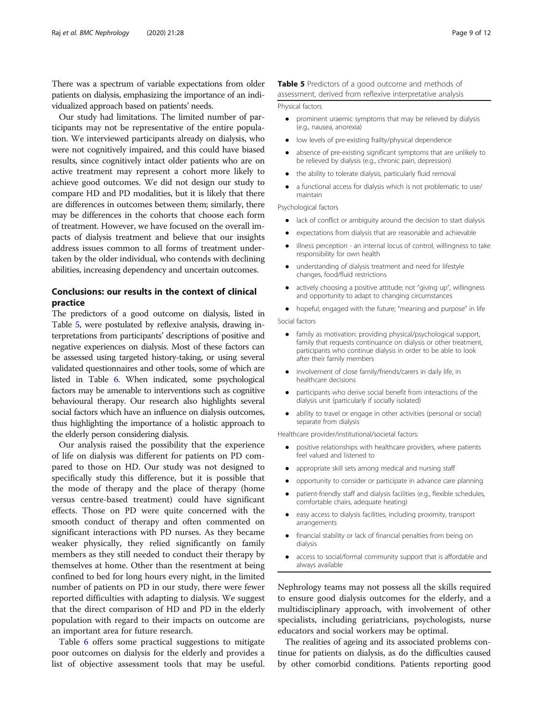There was a spectrum of variable expectations from older patients on dialysis, emphasizing the importance of an individualized approach based on patients' needs.

Our study had limitations. The limited number of participants may not be representative of the entire population. We interviewed participants already on dialysis, who were not cognitively impaired, and this could have biased results, since cognitively intact older patients who are on active treatment may represent a cohort more likely to achieve good outcomes. We did not design our study to compare HD and PD modalities, but it is likely that there are differences in outcomes between them; similarly, there may be differences in the cohorts that choose each form of treatment. However, we have focused on the overall impacts of dialysis treatment and believe that our insights address issues common to all forms of treatment undertaken by the older individual, who contends with declining abilities, increasing dependency and uncertain outcomes.

# Conclusions: our results in the context of clinical practice

The predictors of a good outcome on dialysis, listed in Table 5, were postulated by reflexive analysis, drawing interpretations from participants' descriptions of positive and negative experiences on dialysis. Most of these factors can be assessed using targeted history-taking, or using several validated questionnaires and other tools, some of which are listed in Table [6.](#page-9-0) When indicated, some psychological factors may be amenable to interventions such as cognitive behavioural therapy. Our research also highlights several social factors which have an influence on dialysis outcomes, thus highlighting the importance of a holistic approach to the elderly person considering dialysis.

Our analysis raised the possibility that the experience of life on dialysis was different for patients on PD compared to those on HD. Our study was not designed to specifically study this difference, but it is possible that the mode of therapy and the place of therapy (home versus centre-based treatment) could have significant effects. Those on PD were quite concerned with the smooth conduct of therapy and often commented on significant interactions with PD nurses. As they became weaker physically, they relied significantly on family members as they still needed to conduct their therapy by themselves at home. Other than the resentment at being confined to bed for long hours every night, in the limited number of patients on PD in our study, there were fewer reported difficulties with adapting to dialysis. We suggest that the direct comparison of HD and PD in the elderly population with regard to their impacts on outcome are an important area for future research.

Table [6](#page-9-0) offers some practical suggestions to mitigate poor outcomes on dialysis for the elderly and provides a list of objective assessment tools that may be useful.

# Table 5 Predictors of a good outcome and methods of assessment, derived from reflexive interpretative analysis

Physical factors

- prominent uraemic symptoms that may be relieved by dialysis (e.g., nausea, anorexia)
- low levels of pre-existing frailty/physical dependence
- absence of pre-existing significant symptoms that are unlikely to be relieved by dialysis (e.g., chronic pain, depression)
- the ability to tolerate dialysis, particularly fluid removal
- a functional access for dialysis which is not problematic to use/ maintain

Psychological factors

- lack of conflict or ambiguity around the decision to start dialysis
- expectations from dialysis that are reasonable and achievable
- illness perception an internal locus of control, willingness to take responsibility for own health
- understanding of dialysis treatment and need for lifestyle changes, food/fluid restrictions
- actively choosing a positive attitude; not "giving up", willingness and opportunity to adapt to changing circumstances
- hopeful; engaged with the future; "meaning and purpose" in life

Social factors

- family as motivation: providing physical/psychological support, family that requests continuance on dialysis or other treatment, participants who continue dialysis in order to be able to look after their family members
- involvement of close family/friends/carers in daily life, in healthcare decisions
- participants who derive social benefit from interactions of the dialysis unit (particularly if socially isolated)
- ability to travel or engage in other activities (personal or social) separate from dialysis

Healthcare provider/institutional/societal factors:

- positive relationships with healthcare providers, where patients feel valued and listened to
- appropriate skill sets among medical and nursing staff
- opportunity to consider or participate in advance care planning
- patient-friendly staff and dialysis facilities (e.g., flexible schedules, comfortable chairs, adequate heating)
- easy access to dialysis facilities, including proximity, transport arrangements
- financial stability or lack of financial penalties from being on dialysis
- access to social/formal community support that is affordable and always available

Nephrology teams may not possess all the skills required to ensure good dialysis outcomes for the elderly, and a multidisciplinary approach, with involvement of other specialists, including geriatricians, psychologists, nurse educators and social workers may be optimal.

The realities of ageing and its associated problems continue for patients on dialysis, as do the difficulties caused by other comorbid conditions. Patients reporting good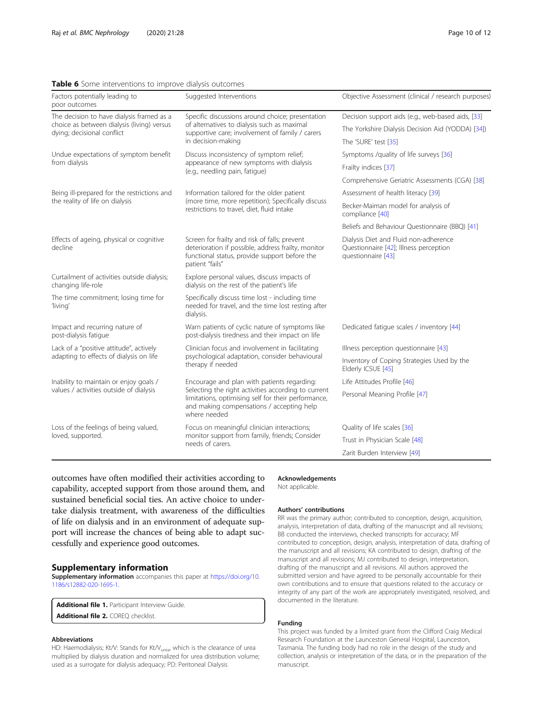<span id="page-9-0"></span>

|  |  | Table 6 Some interventions to improve dialysis outcomes |  |  |  |  |
|--|--|---------------------------------------------------------|--|--|--|--|
|--|--|---------------------------------------------------------|--|--|--|--|

| Factors potentially leading to<br>poor outcomes                          | Suggested Interventions                                                                                                                                                  | Objective Assessment (clinical / research purposes)                                                   |  |  |  |
|--------------------------------------------------------------------------|--------------------------------------------------------------------------------------------------------------------------------------------------------------------------|-------------------------------------------------------------------------------------------------------|--|--|--|
| The decision to have dialysis framed as a                                | Specific discussions around choice; presentation                                                                                                                         | Decision support aids (e.g., web-based aids, [33]                                                     |  |  |  |
| choice as between dialysis (living) versus<br>dying; decisional conflict | of alternatives to dialysis such as maximal<br>supportive care; involvement of family / carers                                                                           | The Yorkshire Dialysis Decision Aid (YODDA) [34])                                                     |  |  |  |
|                                                                          | in decision-making                                                                                                                                                       | The 'SURE' test [35]                                                                                  |  |  |  |
| Undue expectations of symptom benefit                                    | Discuss inconsistency of symptom relief;                                                                                                                                 | Symptoms /quality of life surveys [36]                                                                |  |  |  |
| from dialysis                                                            | appearance of new symptoms with dialysis<br>(e.g., needling pain, fatigue)                                                                                               | Frailty indices [37]                                                                                  |  |  |  |
|                                                                          |                                                                                                                                                                          | Comprehensive Geriatric Assessments (CGA) [38]                                                        |  |  |  |
| Being ill-prepared for the restrictions and                              | Information tailored for the older patient                                                                                                                               | Assessment of health literacy [39]                                                                    |  |  |  |
| the reality of life on dialysis                                          | (more time, more repetition); Specifically discuss<br>restrictions to travel, diet, fluid intake                                                                         | Becker-Maiman model for analysis of<br>compliance [40]                                                |  |  |  |
|                                                                          |                                                                                                                                                                          | Beliefs and Behaviour Questionnaire (BBQ) [41]                                                        |  |  |  |
| Effects of ageing, physical or cognitive<br>decline                      | Screen for frailty and risk of falls; prevent<br>deterioration if possible, address frailty, monitor<br>functional status, provide support before the<br>patient "fails" | Dialysis Diet and Fluid non-adherence<br>Questionnaire [42]; Illness perception<br>questionnaire [43] |  |  |  |
| Curtailment of activities outside dialysis;<br>changing life-role        | Explore personal values, discuss impacts of<br>dialysis on the rest of the patient's life                                                                                |                                                                                                       |  |  |  |
| The time commitment; losing time for<br>'living'                         | Specifically discuss time lost - including time<br>needed for travel, and the time lost resting after<br>dialysis.                                                       |                                                                                                       |  |  |  |
| Impact and recurring nature of<br>post-dialysis fatique                  | Warn patients of cyclic nature of symptoms like<br>post-dialysis tiredness and their impact on life                                                                      | Dedicated fatigue scales / inventory [44]                                                             |  |  |  |
| Lack of a "positive attitude", actively                                  | Clinician focus and involvement in facilitating                                                                                                                          | Illness perception questionnaire [43]                                                                 |  |  |  |
| adapting to effects of dialysis on life                                  | psychological adaptation, consider behavioural<br>therapy if needed                                                                                                      | Inventory of Coping Strategies Used by the<br>Elderly ICSUE [45]                                      |  |  |  |
| Inability to maintain or enjoy goals /                                   | Encourage and plan with patients regarding:                                                                                                                              | Life Attitudes Profile [46]                                                                           |  |  |  |
| values / activities outside of dialysis                                  | Selecting the right activities according to current<br>limitations, optimising self for their performance,<br>and making compensations / accepting help<br>where needed  | Personal Meaning Profile [47]                                                                         |  |  |  |
| Loss of the feelings of being valued,                                    | Focus on meaningful clinician interactions;                                                                                                                              | Quality of life scales [36]                                                                           |  |  |  |
| loved, supported.                                                        | monitor support from family, friends; Consider<br>needs of carers.                                                                                                       | Trust in Physician Scale [48]                                                                         |  |  |  |
|                                                                          |                                                                                                                                                                          | Zarit Burden Interview [49]                                                                           |  |  |  |

outcomes have often modified their activities according to capability, accepted support from those around them, and sustained beneficial social ties. An active choice to undertake dialysis treatment, with awareness of the difficulties of life on dialysis and in an environment of adequate support will increase the chances of being able to adapt successfully and experience good outcomes.

# Supplementary information

Supplementary information accompanies this paper at [https://doi.org/10.](https://doi.org/10.1186/s12882-020-1695-1) [1186/s12882-020-1695-1.](https://doi.org/10.1186/s12882-020-1695-1)

Additional file 1. Participant Interview Guide Additional file 2. COREQ checklist.

## Abbreviations

HD: Haemodialysis; Kt/V: Stands for Kt/V<sub>urea</sub>, which is the clearance of urea multiplied by dialysis duration and normalized for urea distribution volume; used as a surrogate for dialysis adequacy; PD: Peritoneal Dialysis

Acknowledgements Not applicable.

### Authors' contributions

RR was the primary author; contributed to conception, design, acquisition, analysis, interpretation of data, drafting of the manuscript and all revisions; BB conducted the interviews, checked transcripts for accuracy; MF contributed to conception, design, analysis, interpretation of data, drafting of the manuscript and all revisions; KA contributed to design, drafting of the manuscript and all revisions; MJ contributed to design, interpretation, drafting of the manuscript and all revisions. All authors approved the submitted version and have agreed to be personally accountable for their own contributions and to ensure that questions related to the accuracy or integrity of any part of the work are appropriately investigated, resolved, and documented in the literature.

### Funding

This project was funded by a limited grant from the Clifford Craig Medical Research Foundation at the Launceston General Hospital, Launceston, Tasmania. The funding body had no role in the design of the study and collection, analysis or interpretation of the data, or in the preparation of the manuscript.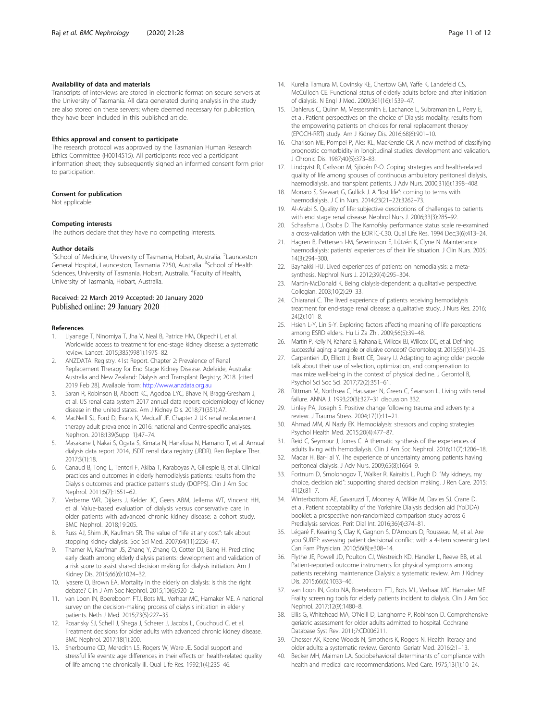## <span id="page-10-0"></span>Availability of data and materials

Transcripts of interviews are stored in electronic format on secure servers at the University of Tasmania. All data generated during analysis in the study are also stored on these servers; where deemed necessary for publication, they have been included in this published article.

### Ethics approval and consent to participate

The research protocol was approved by the Tasmanian Human Research Ethics Committee (H0014515). All participants received a participant information sheet; they subsequently signed an informed consent form prior to participation.

## Consent for publication

Not applicable.

## Competing interests

The authors declare that they have no competing interests.

## Author details

<sup>1</sup>School of Medicine, University of Tasmania, Hobart, Australia. <sup>2</sup>Launceston General Hospital, Launceston, Tasmania 7250, Australia. <sup>3</sup>School of Health Sciences, University of Tasmania, Hobart, Australia. <sup>4</sup>Faculty of Health, University of Tasmania, Hobart, Australia.

## Received: 22 March 2019 Accepted: 20 January 2020 Published online: 29 January 2020

### References

- Liyanage T, Ninomiya T, Jha V, Neal B, Patrice HM, Okpechi I, et al. Worldwide access to treatment for end-stage kidney disease: a systematic review. Lancet. 2015;385(9981):1975–82.
- 2. ANZDATA. Registry. 41st Report. Chapter 2: Prevalence of Renal Replacement Therapy for End Stage Kidney Disease. Adelaide, Australia: Australia and New Zealand: Dialysis and Transplant Registry; 2018. [cited 2019 Feb 28]. Available from: <http://www.anzdata.org.au>
- Saran R, Robinson B, Abbott KC, Agodoa LYC, Bhave N, Bragg-Gresham J, et al. US renal data system 2017 annual data report: epidemiology of kidney disease in the united states. Am J Kidney Dis. 2018;71(3S1):A7.
- MacNeill SJ, Ford D, Evans K, Medcalf JF. Chapter 2 UK renal replacement therapy adult prevalence in 2016: national and Centre-specific analyses. Nephron. 2018;139(Suppl 1):47–74.
- 5. Masakane I, Nakai S, Ogata S, Kimata N, Hanafusa N, Hamano T, et al. Annual dialysis data report 2014, JSDT renal data registry (JRDR). Ren Replace Ther. 2017;3(1):18.
- 6. Canaud B, Tong L, Tentori F, Akiba T, Karaboyas A, Gillespie B, et al. Clinical practices and outcomes in elderly hemodialysis patients: results from the Dialysis outcomes and practice patterns study (DOPPS). Clin J Am Soc Nephrol. 2011;6(7):1651–62.
- 7. Verberne WR, Dijkers J, Kelder JC, Geers ABM, Jellema WT, Vincent HH, et al. Value-based evaluation of dialysis versus conservative care in older patients with advanced chronic kidney disease: a cohort study. BMC Nephrol. 2018;19:205.
- Russ AJ, Shim JK, Kaufman SR. The value of "life at any cost": talk about stopping kidney dialysis. Soc Sci Med. 2007;64(11):2236–47.
- 9. Thamer M, Kaufman JS, Zhang Y, Zhang Q, Cotter DJ, Bang H. Predicting early death among elderly dialysis patients: development and validation of a risk score to assist shared decision making for dialysis initiation. Am J Kidney Dis. 2015;66(6):1024–32.
- 10. Iyasere O, Brown EA. Mortality in the elderly on dialysis: is this the right debate? Clin J Am Soc Nephrol. 2015;10(6):920–2.
- 11. van Loon IN, Boereboom FTJ, Bots ML, Verhaar MC, Hamaker ME. A national survey on the decision-making process of dialysis initiation in elderly patients. Neth J Med. 2015;73(5):227–35.
- 12. Rosansky SJ, Schell J, Shega J, Scherer J, Jacobs L, Couchoud C, et al. Treatment decisions for older adults with advanced chronic kidney disease. BMC Nephrol. 2017;18(1):200.
- 13. Sherbourne CD, Meredith LS, Rogers W, Ware JE. Social support and stressful life events: age differences in their effects on health-related quality of life among the chronically ill. Qual Life Res. 1992;1(4):235–46.
- 14. Kurella Tamura M, Covinsky KE, Chertow GM, Yaffe K, Landefeld CS, McCulloch CE. Functional status of elderly adults before and after initiation of dialysis. N Engl J Med. 2009;361(16):1539–47.
- 15. Dahlerus C, Quinn M, Messersmith E, Lachance L, Subramanian L, Perry E, et al. Patient perspectives on the choice of Dialysis modality: results from the empowering patients on choices for renal replacement therapy (EPOCH-RRT) study. Am J Kidney Dis. 2016;68(6):901–10.
- 16. Charlson ME, Pompei P, Ales KL, MacKenzie CR. A new method of classifying prognostic comorbidity in longitudinal studies: development and validation. J Chronic Dis. 1987;40(5):373–83.
- 17. Lindqvist R, Carlsson M, Sjödén P-O. Coping strategies and health-related quality of life among spouses of continuous ambulatory peritoneal dialysis, haemodialysis, and transplant patients. J Adv Nurs. 2000;31(6):1398–408.
- 18. Monaro S, Stewart G, Gullick J. A "lost life": coming to terms with haemodialysis. J Clin Nurs. 2014;23(21–22):3262–73.
- 19. Al-Arabi S. Quality of life: subjective descriptions of challenges to patients with end stage renal disease. Nephrol Nurs J. 2006;33(3):285–92.
- 20. Schaafsma J, Osoba D. The Karnofsky performance status scale re-examined: a cross-validation with the EORTC-C30. Qual Life Res. 1994 Dec;3(6):413–24.
- 21. Hagren B, Pettersen I-M, Severinsson E, Lützén K, Clyne N. Maintenance haemodialysis: patients' experiences of their life situation. J Clin Nurs. 2005; 14(3):294–300.
- 22. Bayhakki HU. Lived experiences of patients on hemodialysis: a metasynthesis. Nephrol Nurs J. 2012;39(4):295–304.
- Martin-McDonald K. Being dialysis-dependent: a qualitative perspective. Collegian. 2003;10(2):29–33.
- 24. Chiaranai C. The lived experience of patients receiving hemodialysis treatment for end-stage renal disease: a qualitative study. J Nurs Res. 2016; 24(2):101–8.
- 25. Hsieh L-Y, Lin S-Y. Exploring factors affecting meaning of life perceptions among ESRD elders. Hu Li Za Zhi. 2009;56(5):39–48.
- 26. Martin P, Kelly N, Kahana B, Kahana E, Willcox BJ, Willcox DC, et al. Defining successful aging: a tangible or elusive concept? Gerontologist. 2015;55(1):14–25.
- 27. Carpentieri JD, Elliott J, Brett CE, Deary IJ. Adapting to aging: older people talk about their use of selection, optimization, and compensation to maximize well-being in the context of physical decline. J Gerontol B, Psychol Sci Soc Sci. 2017;72(2):351–61.
- 28. Rittman M, Northsea C, Hausauer N, Green C, Swanson L. Living with renal failure. ANNA J. 1993;20(3):327–31 discussion 332.
- 29. Linley PA, Joseph S. Positive change following trauma and adversity: a review. J Trauma Stress. 2004;17(1):11–21.
- 30. Ahmad MM, Al Nazly EK. Hemodialysis: stressors and coping strategies. Psychol Health Med. 2015;20(4):477–87.
- 31. Reid C, Seymour J, Jones C. A thematic synthesis of the experiences of adults living with hemodialysis. Clin J Am Soc Nephrol. 2016;11(7):1206–18.
- 32. Madar H, Bar-Tal Y. The experience of uncertainty among patients having peritoneal dialysis. J Adv Nurs. 2009;65(8):1664–9.
- 33. Fortnum D, Smolonogov T, Walker R, Kairaitis L, Pugh D. "My kidneys, my choice, decision aid": supporting shared decision making. J Ren Care. 2015; 41(2):81–7.
- 34. Winterbottom AE, Gavaruzzi T, Mooney A, Wilkie M, Davies SJ, Crane D, et al. Patient acceptability of the Yorkshire Dialysis decision aid (YoDDA) booklet: a prospective non-randomized comparison study across 6 Predialysis services. Perit Dial Int. 2016;36(4):374–81.
- 35. Légaré F, Kearing S, Clay K, Gagnon S, D'Amours D, Rousseau M, et al. Are you SURE?: assessing patient decisional conflict with a 4-item screening test. Can Fam Physician. 2010;56(8):e308–14.
- 36. Flythe JE, Powell JD, Poulton CJ, Westreich KD, Handler L, Reeve BB, et al. Patient-reported outcome instruments for physical symptoms among patients receiving maintenance Dialysis: a systematic review. Am J Kidney Dis. 2015;66(6):1033–46.
- 37. van Loon IN, Goto NA, Boereboom FTJ, Bots ML, Verhaar MC, Hamaker ME. Frailty screening tools for elderly patients incident to dialysis. Clin J Am Soc Nephrol. 2017;12(9):1480–8.
- 38. Ellis G, Whitehead MA, O'Neill D, Langhorne P, Robinson D. Comprehensive geriatric assessment for older adults admitted to hospital. Cochrane Database Syst Rev. 2011;7:CD006211.
- 39. Chesser AK, Keene Woods N, Smothers K, Rogers N. Health literacy and older adults: a systematic review. Gerontol Geriatr Med. 2016;2:1–13.
- 40. Becker MH, Maiman LA. Sociobehavioral determinants of compliance with health and medical care recommendations. Med Care. 1975;13(1):10–24.